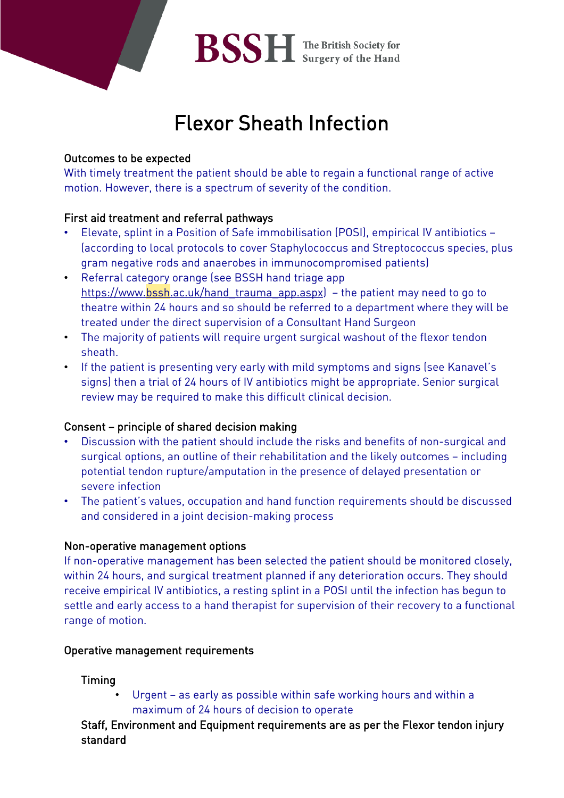

# Flexor Sheath Infection

# Outcomes to be expected

With timely treatment the patient should be able to regain a functional range of active motion. However, there is a spectrum of severity of the condition.

# First aid treatment and referral pathways

- Elevate, splint in a Position of Safe immobilisation (POSI), empirical IV antibiotics (according to local protocols to cover Staphylococcus and Streptococcus species, plus gram negative rods and anaerobes in immunocompromised patients)
- Referral category orange (see BSSH hand triage app https://www.bssh.ac.uk/hand trauma app.aspx) – the patient may need to go to theatre within 24 hours and so should be referred to a department where they will be treated under the direct supervision of a Consultant Hand Surgeon
- The majority of patients will require urgent surgical washout of the flexor tendon sheath.
- If the patient is presenting very early with mild symptoms and signs (see Kanavel's signs) then a trial of 24 hours of IV antibiotics might be appropriate. Senior surgical review may be required to make this difficult clinical decision.

## Consent – principle of shared decision making

- Discussion with the patient should include the risks and benefits of non-surgical and surgical options, an outline of their rehabilitation and the likely outcomes – including potential tendon rupture/amputation in the presence of delayed presentation or severe infection
- The patient's values, occupation and hand function requirements should be discussed and considered in a joint decision-making process

## Non-operative management options

If non-operative management has been selected the patient should be monitored closely, within 24 hours, and surgical treatment planned if any deterioration occurs. They should receive empirical IV antibiotics, a resting splint in a POSI until the infection has begun to settle and early access to a hand therapist for supervision of their recovery to a functional range of motion.

## Operative management requirements

# Timing

Urgent – as early as possible within safe working hours and within a maximum of 24 hours of decision to operate

Staff, Environment and Equipment requirements are as per the Flexor tendon injury standard